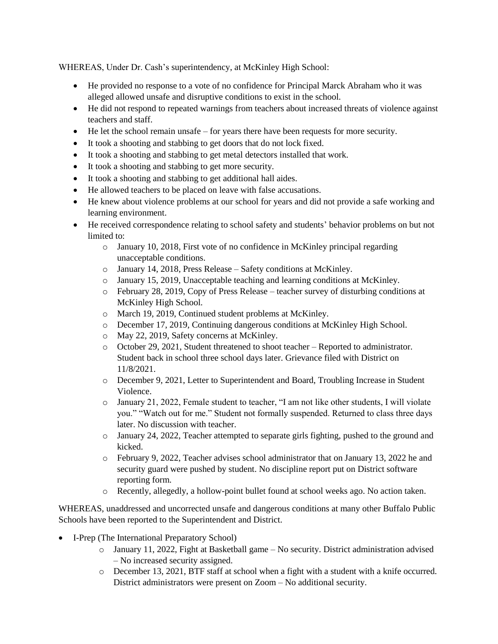WHEREAS, Under Dr. Cash's superintendency, at McKinley High School:

- He provided no response to a vote of no confidence for Principal Marck Abraham who it was alleged allowed unsafe and disruptive conditions to exist in the school.
- He did not respond to repeated warnings from teachers about increased threats of violence against teachers and staff.
- He let the school remain unsafe for years there have been requests for more security.
- It took a shooting and stabbing to get doors that do not lock fixed.
- It took a shooting and stabbing to get metal detectors installed that work.
- It took a shooting and stabbing to get more security.
- It took a shooting and stabbing to get additional hall aides.
- He allowed teachers to be placed on leave with false accusations.
- He knew about violence problems at our school for years and did not provide a safe working and learning environment.
- He received correspondence relating to school safety and students' behavior problems on but not limited to:
	- $\circ$  January 10, 2018, First vote of no confidence in McKinley principal regarding unacceptable conditions.
	- o January 14, 2018, Press Release Safety conditions at McKinley.
	- o January 15, 2019, Unacceptable teaching and learning conditions at McKinley.
	- o February 28, 2019, Copy of Press Release teacher survey of disturbing conditions at McKinley High School.
	- o March 19, 2019, Continued student problems at McKinley.
	- o December 17, 2019, Continuing dangerous conditions at McKinley High School.
	- o May 22, 2019, Safety concerns at McKinley.
	- o October 29, 2021, Student threatened to shoot teacher Reported to administrator. Student back in school three school days later. Grievance filed with District on 11/8/2021.
	- o December 9, 2021, Letter to Superintendent and Board, Troubling Increase in Student Violence.
	- o January 21, 2022, Female student to teacher, "I am not like other students, I will violate you." "Watch out for me." Student not formally suspended. Returned to class three days later. No discussion with teacher.
	- o January 24, 2022, Teacher attempted to separate girls fighting, pushed to the ground and kicked.
	- o February 9, 2022, Teacher advises school administrator that on January 13, 2022 he and security guard were pushed by student. No discipline report put on District software reporting form.
	- o Recently, allegedly, a hollow-point bullet found at school weeks ago. No action taken.

WHEREAS, unaddressed and uncorrected unsafe and dangerous conditions at many other Buffalo Public Schools have been reported to the Superintendent and District.

- I-Prep (The International Preparatory School)
	- o January 11, 2022, Fight at Basketball game No security. District administration advised – No increased security assigned.
	- o December 13, 2021, BTF staff at school when a fight with a student with a knife occurred. District administrators were present on Zoom – No additional security.